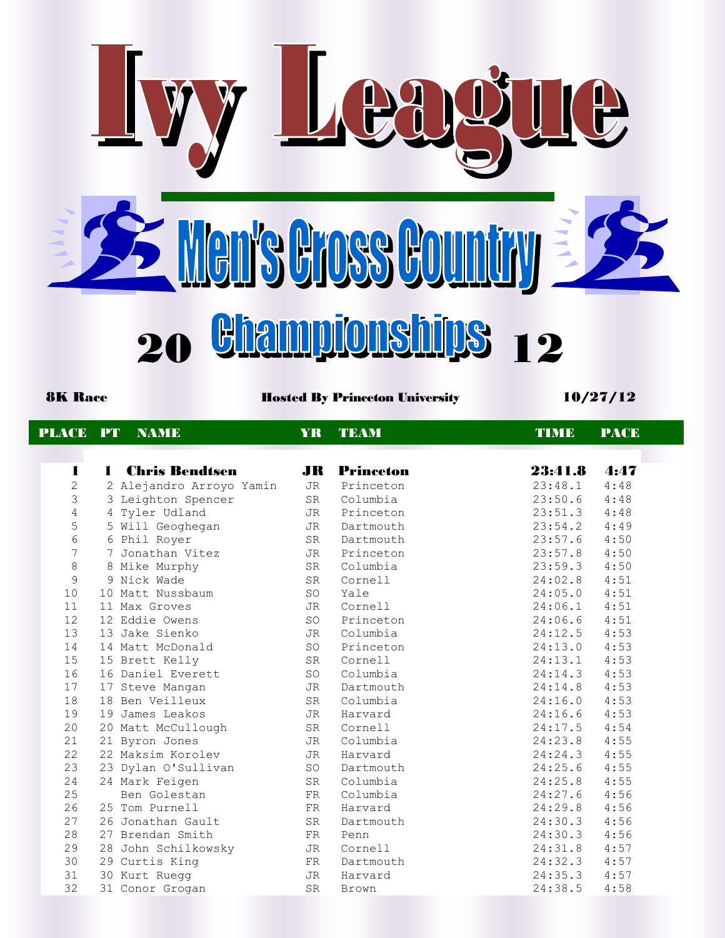

8K Race **Hosted By Princeton University** 10/27/12

| PLACE          | <b>PT</b>      | <b>NAMIE</b>             | YR.       | <b>TEAM</b>         | <b>TIMB</b> | <b>PACE</b> |
|----------------|----------------|--------------------------|-----------|---------------------|-------------|-------------|
|                |                |                          |           |                     |             |             |
| $\blacksquare$ | $\blacksquare$ | <b>Chris Bendtsen</b>    |           | <b>JR</b> Princeton | 23:41.8     | 4:47        |
| $\overline{2}$ |                | 2 Alejandro Arroyo Yamin | JR        | Princeton           | 23:48.1     | 4:48        |
| 3              |                | 3 Leighton Spencer       | <b>SR</b> | Columbia            | 23:50.6     | 4:48        |
| $\overline{4}$ |                | 4 Tyler Udland           | JR        | Princeton           | 23:51.3     | 4:48        |
| 5              |                | 5 Will Geoghegan         | JR        | Dartmouth           | 23:54.2     | 4:49        |
| $6\phantom{a}$ |                | 6 Phil Royer             | <b>SR</b> | Dartmouth           | 23:57.6     | 4:50        |
| $\overline{7}$ |                | 7 Jonathan Vitez         | JR        | Princeton           | 23:57.8     | 4:50        |
| $\,8\,$        |                | 8 Mike Murphy            | SR        | Columbia            | 23:59.3     | 4:50        |
| 9              |                | 9 Nick Wade              | <b>SR</b> | Cornell             | 24:02.8     | 4:51        |
| 10             |                | 10 Matt Nussbaum         | SO        | Yale                | 24:05.0     | 4:51        |
| 11             |                | 11 Max Groves            | JR        | Cornell             | 24:06.1     | 4:51        |
| 12             |                | 12 Eddie Owens           | SO        | Princeton           | 24:06.6     | 4:51        |
| 13             |                | 13 Jake Sienko           | JR        | Columbia            | 24:12.5     | 4:53        |
| 14             |                | 14 Matt McDonald         | SO        | Princeton           | 24:13.0     | 4:53        |
| 15             |                | 15 Brett Kelly           | SR        | Cornell             | 24:13.1     | 4:53        |
| 16             |                | 16 Daniel Everett        | SO        | Columbia            | 24:14.3     | 4:53        |
| 17             |                | 17 Steve Mangan          | JR        | Dartmouth           | 24:14.8     | 4:53        |
| 18             |                | 18 Ben Veilleux          | SR        | Columbia            | 24:16.0     | 4:53        |
| 19             |                | 19 James Leakos          | JR        | Harvard             | 24:16.6     | 4:53        |
| 20             |                | 20 Matt McCullough       | SR        | Cornell             | 24:17.5     | 4:54        |
| 21             |                | 21 Byron Jones           | JR        | Columbia            | 24:23.8     | 4:55        |
| 22             |                | 22 Maksim Korolev        | JR        | Harvard             | 24:24.3     | 4:55        |
| 23             |                | 23 Dylan O'Sullivan      | SO        | Dartmouth           | 24:25.6     | 4:55        |
| 24             |                | 24 Mark Feigen           | <b>SR</b> | Columbia            | 24:25.8     | 4:55        |
| 25             |                | Ben Golestan             | FR        | Columbia            | 24:27.6     | 4:56        |
| 26             |                | 25 Tom Purnell           | FR        | Harvard             | 24:29.8     | 4:56        |
| 27             |                | 26 Jonathan Gault        | <b>SR</b> | Dartmouth           | 24:30.3     | 4:56        |
| 28             |                | 27 Brendan Smith         | FR        | Penn                | 24:30.3     | 4:56        |
| 29             |                | 28 John Schilkowsky      | JR        | Cornell             | 24:31.8     | 4:57        |
| 30             |                | 29 Curtis King           | FR        | Dartmouth           | 24:32.3     | 4:57        |
| 31             |                | 30 Kurt Ruegg            | JR        | Harvard             | 24:35.3     | 4:57        |
| 32             |                | 31 Conor Grogan          | <b>SR</b> | <b>Brown</b>        | 24:38.5     | 4:58        |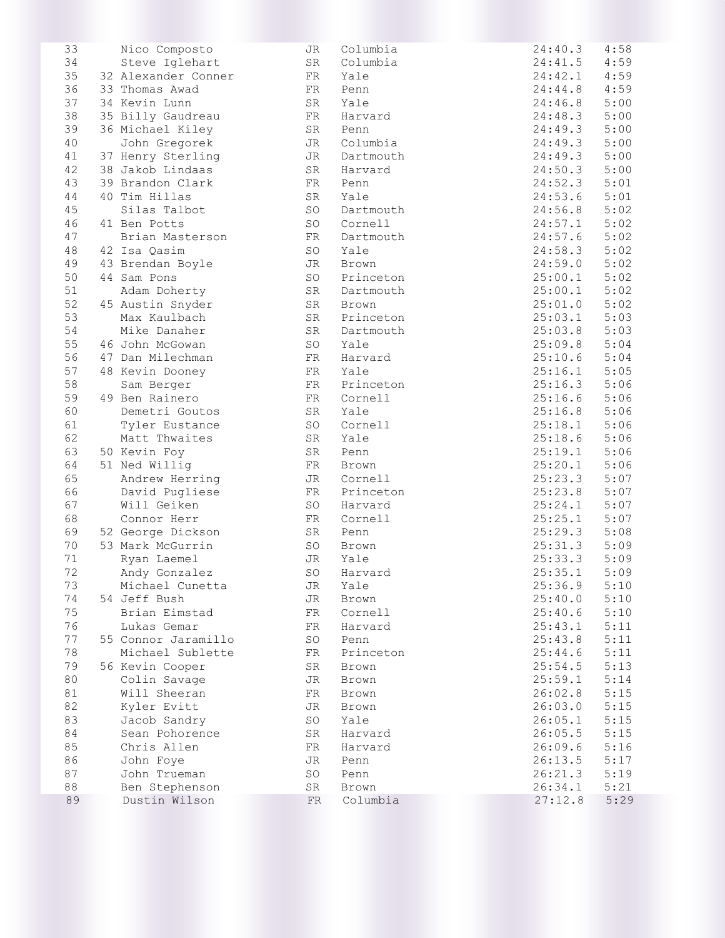| 33     | Nico Composto       | <b>JR</b>  | Columbia  | 24:40.3 | 4:58 |
|--------|---------------------|------------|-----------|---------|------|
| 34     | Steve Iglehart      | SR         | Columbia  | 24:41.5 | 4:59 |
| 35     | 32 Alexander Conner | FR         | Yale      | 24:42.1 | 4:59 |
| 36     | 33 Thomas Awad      | FR         | Penn      | 24:44.8 | 4:59 |
| 37     | 34 Kevin Lunn       | SR         | Yale      | 24:46.8 | 5:00 |
| 38     | 35 Billy Gaudreau   | FR         | Harvard   | 24:48.3 | 5:00 |
| 39     | 36 Michael Kiley    | SR         | Penn      | 24:49.3 | 5:00 |
| 40     | John Gregorek       | JR         | Columbia  | 24:49.3 | 5:00 |
| 41     | 37 Henry Sterling   | JR         | Dartmouth | 24:49.3 | 5:00 |
| 42     | 38 Jakob Lindaas    | SR         | Harvard   | 24:50.3 | 5:00 |
| 43     | 39 Brandon Clark    | FR         | Penn      | 24:52.3 | 5:01 |
| 44     | 40 Tim Hillas       | SR         | Yale      | 24:53.6 | 5:01 |
| 45     | Silas Talbot        | SO         | Dartmouth | 24:56.8 | 5:02 |
| 46     | 41 Ben Potts        | SO         | Cornell   | 24:57.1 | 5:02 |
| 47     | Brian Masterson     | FR         | Dartmouth | 24:57.6 | 5:02 |
| 48     | 42 Isa Qasim        | SO         | Yale      | 24:58.3 | 5:02 |
| 49     | 43 Brendan Boyle    | JR         | Brown     | 24:59.0 | 5:02 |
| 50     | 44 Sam Pons         | SO         | Princeton | 25:00.1 | 5:02 |
| 51     | Adam Doherty        | SR         | Dartmouth | 25:00.1 | 5:02 |
| 52     | 45 Austin Snyder    | SR         | Brown     | 25:01.0 | 5:02 |
| 53     | Max Kaulbach        | SR         | Princeton | 25:03.1 | 5:03 |
| 54     | Mike Danaher        | SR         | Dartmouth | 25:03.8 | 5:03 |
| 55     | 46 John McGowan     | SO         | Yale      | 25:09.8 | 5:04 |
| 56     | 47 Dan Milechman    | FR         | Harvard   | 25:10.6 | 5:04 |
| 57     | 48 Kevin Dooney     | FR         | Yale      | 25:16.1 | 5:05 |
| 58     | Sam Berger          | FR         | Princeton | 25:16.3 | 5:06 |
| 59     | 49 Ben Rainero      | FR         | Cornell   | 25:16.6 | 5:06 |
| 60     | Demetri Goutos      | SR         | Yale      | 25:16.8 | 5:06 |
| 61     | Tyler Eustance      | SO         | Cornell   | 25:18.1 | 5:06 |
| 62     | Matt Thwaites       | SR         | Yale      | 25:18.6 | 5:06 |
| 63     | 50 Kevin Foy        | SR         | Penn      | 25:19.1 | 5:06 |
| 64     | 51 Ned Willig       | FR         | Brown     | 25:20.1 | 5:06 |
| 65     | Andrew Herring      | JR         | Cornell   | 25:23.3 | 5:07 |
| 66     | David Pugliese      | FR         | Princeton | 25:23.8 | 5:07 |
| 67     | Will Geiken         | SO         | Harvard   | 25:24.1 | 5:07 |
| 68     | Connor Herr         | FR         | Cornell   | 25:25.1 | 5:07 |
| 69     | 52 George Dickson   | SR         | Penn      | 25:29.3 | 5:08 |
| 70     | 53 Mark McGurrin    | SO         | Brown     | 25:31.3 | 5:09 |
| 71     | Ryan Laemel         | <b>JR</b>  | Yale      | 25:33.3 | 5:09 |
| 72     | Andy Gonzalez       | SO         | Harvard   | 25:35.1 | 5:09 |
| 73     | Michael Cunetta     | JR         | Yale      | 25:36.9 | 5:10 |
| 74     | 54 Jeff Bush        | JR         | Brown     | 25:40.0 | 5:10 |
| 75     | Brian Eimstad       | FR         | Cornell   | 25:40.6 | 5:10 |
| 76     | Lukas Gemar         | FR         | Harvard   | 25:43.1 | 5:11 |
| 77     | 55 Connor Jaramillo | SO         | Penn      | 25:43.8 | 5:11 |
| 78     | Michael Sublette    | FR         | Princeton | 25:44.6 | 5:11 |
| 79     | 56 Kevin Cooper     | SR         | Brown     | 25:54.5 | 5:13 |
| 80     | Colin Savage        | JR         | Brown     | 25:59.1 | 5:14 |
| 81     | Will Sheeran        | FR         | Brown     | 26:02.8 | 5:15 |
| 82     | Kyler Evitt         | JR         | Brown     | 26:03.0 | 5:15 |
| 83     | Jacob Sandry        | SO         | Yale      | 26:05.1 | 5:15 |
| 84     | Sean Pohorence      | ${\tt SR}$ | Harvard   | 26:05.5 | 5:15 |
| 85     | Chris Allen         | FR         | Harvard   | 26:09.6 | 5:16 |
| 86     | John Foye           | JR         | Penn      | 26:13.5 | 5:17 |
| 87     | John Trueman        | SO         | Penn      | 26:21.3 | 5:19 |
| $8\,8$ | Ben Stephenson      | SR         | Brown     | 26:34.1 | 5:21 |
| 89     | Dustin Wilson       | ${\rm FR}$ | Columbia  | 27:12.8 | 5:29 |
|        |                     |            |           |         |      |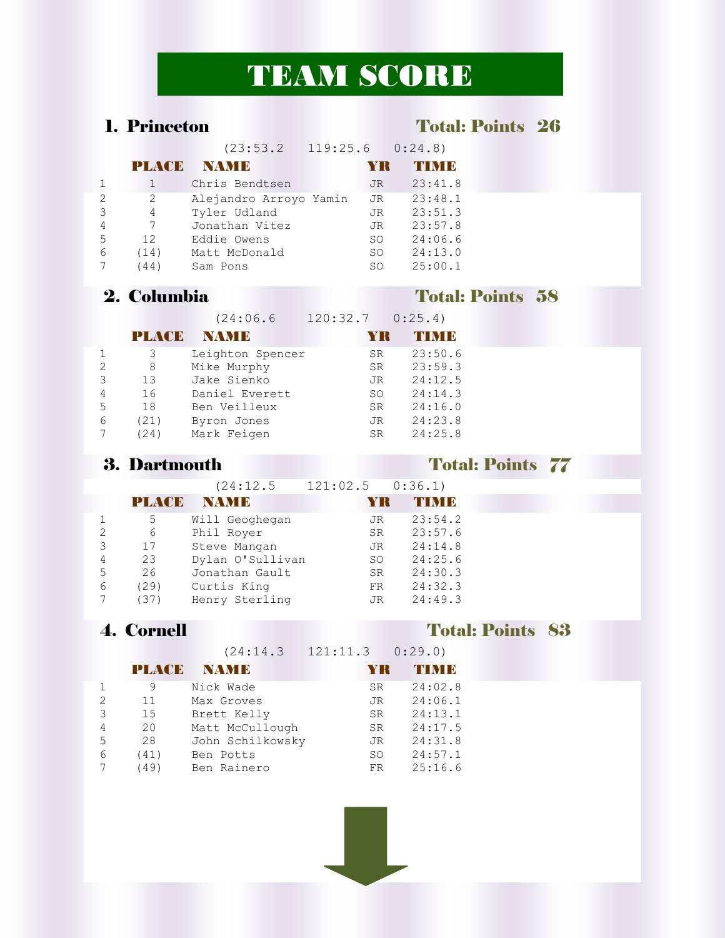# TEAM SCORE

### 1. Princeton Total: Points 26

|                |               | (23:53.2)              |           | $119:25.6$ $0:24.8$ |
|----------------|---------------|------------------------|-----------|---------------------|
|                | <b>PLAYEE</b> | NAME                   | YR        | T N I B             |
|                |               | Chris Bendtsen         | JR.       | 23:41.8             |
| $\overline{2}$ | 2             | Alejandro Arroyo Yamin | JR.       | 23:48.1             |
| 3              | 4             | Tyler Udland           | JR.       | 23:51.3             |
| 4              | 7             | Jonathan Vitez         | JR.       | 23:57.8             |
| 5              | 12            | Eddie Owens            | SO.       | 24:06.6             |
| 6              | (14)          | Matt McDonald          | SO.       | 24:13.0             |
|                | (44)          | Sam Pons               | <b>SO</b> | 25:00.1             |

## 2. Columbia Total: Points 58

| (24:06.6 | 120:32.7 | 0:25.4) |
|----------|----------|---------|
|          |          |         |

| <b>PLACE</b> | <b>INAMIR</b>    | YK        | THMIR   |
|--------------|------------------|-----------|---------|
| 3            | Leighton Spencer | <b>SR</b> | 23:50.6 |
| 8            | Mike Murphy      | SR.       | 23:59.3 |
| 13           | Jake Sienko      | JR.       | 24:12.5 |
| 16           | Daniel Everett   | SO.       | 24:14.3 |
| 18           | Ben Veilleux     | <b>SR</b> | 24:16.0 |
| (21)         | Byron Jones      | JR.       | 24:23.8 |
| (24)         | Mark Feigen      | <b>SR</b> | 24:25.8 |
|              |                  |           |         |

### 3. Dartmouth Total: Points 77

|                |              | (24:12.5         | $121:02.5$ $0:36.1$ |         |  |
|----------------|--------------|------------------|---------------------|---------|--|
|                | <b>PLACE</b> | <b>NAMB</b>      | YR                  | TIMB    |  |
|                | 5            | Will Geoghegan   | JR.                 | 23:54.2 |  |
| $\overline{2}$ | 6            | Phil Royer       | SR                  | 23:57.6 |  |
| 3              | 17           | Steve Mangan     | JR                  | 24:14.8 |  |
| 4              | 23           | Dylan O'Sullivan | SO                  | 24:25.6 |  |
| 5              | 26           | Jonathan Gault   | SR                  | 24:30.3 |  |
| 6              | (29)         | Curtis King      | FR                  | 24:32.3 |  |
|                | (37)         | Henry Sterling   | JR.                 | 24:49.3 |  |
|                |              |                  |                     |         |  |

### 4. Cornell Total: Points 83

(24:14.3 121:11.3 0:29.0)

|               | <b>PLACE</b> | <b>NAMIE</b>     | YK        | <b>THIM B</b> |
|---------------|--------------|------------------|-----------|---------------|
|               | 9            | Nick Wade        | <b>SR</b> | 24:02.8       |
| $\mathcal{L}$ | 11           | Max Groves       | JR.       | 24:06.1       |
| 3             | 15           | Brett Kelly      | SR.       | 24:13.1       |
| 4             | 20           | Matt McCullough  | SR.       | 24:17.5       |
| 5             | 28           | John Schilkowsky | JR        | 24:31.8       |
| 6             | (41)         | Ben Potts        | SO.       | 24:57.1       |
|               | (49)         | Ben Rainero      | FR.       | 25:16.6       |